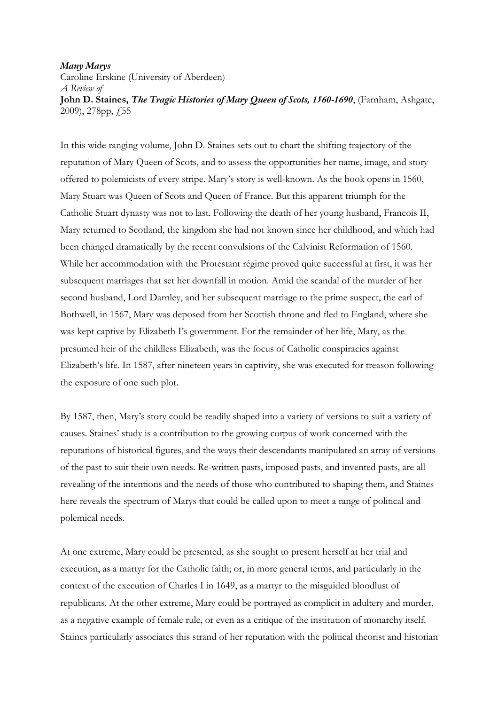## Many Marys

Caroline Erskine (University of Aberdeen) A Review of John D. Staines, The Tragic Histories of Mary Queen of Scots, 1560-1690, (Farnham, Ashgate, 2009), 278pp, £55

In this wide ranging volume, John D. Staines sets out to chart the shifting trajectory of the reputation of Mary Queen of Scots, and to assess the opportunities her name, image, and story offered to polemicists of every stripe. Mary's story is well-known. As the book opens in 1560, Mary Stuart was Queen of Scots and Queen of France. But this apparent triumph for the Catholic Stuart dynasty was not to last. Following the death of her young husband, Francois II, Mary returned to Scotland, the kingdom she had not known since her childhood, and which had been changed dramatically by the recent convulsions of the Calvinist Reformation of 1560. While her accommodation with the Protestant régime proved quite successful at first, it was her subsequent marriages that set her downfall in motion. Amid the scandal of the murder of her second husband, Lord Darnley, and her subsequent marriage to the prime suspect, the earl of Bothwell, in 1567, Mary was deposed from her Scottish throne and fled to England, where she was kept captive by Elizabeth I's government. For the remainder of her life, Mary, as the presumed heir of the childless Elizabeth, was the focus of Catholic conspiracies against Elizabeth's life. In 1587, after nineteen years in captivity, she was executed for treason following the exposure of one such plot.

By 1587, then, Mary's story could be readily shaped into a variety of versions to suit a variety of causes. Staines' study is a contribution to the growing corpus of work concerned with the reputations of historical figures, and the ways their descendants manipulated an array of versions of the past to suit their own needs. Re-written pasts, imposed pasts, and invented pasts, are all revealing of the intentions and the needs of those who contributed to shaping them, and Staines here reveals the spectrum of Marys that could be called upon to meet a range of political and polemical needs.

At one extreme, Mary could be presented, as she sought to present herself at her trial and execution, as a martyr for the Catholic faith; or, in more general terms, and particularly in the context of the execution of Charles I in 1649, as a martyr to the misguided bloodlust of republicans. At the other extreme, Mary could be portrayed as complicit in adultery and murder, as a negative example of female rule, or even as a critique of the institution of monarchy itself. Staines particularly associates this strand of her reputation with the political theorist and historian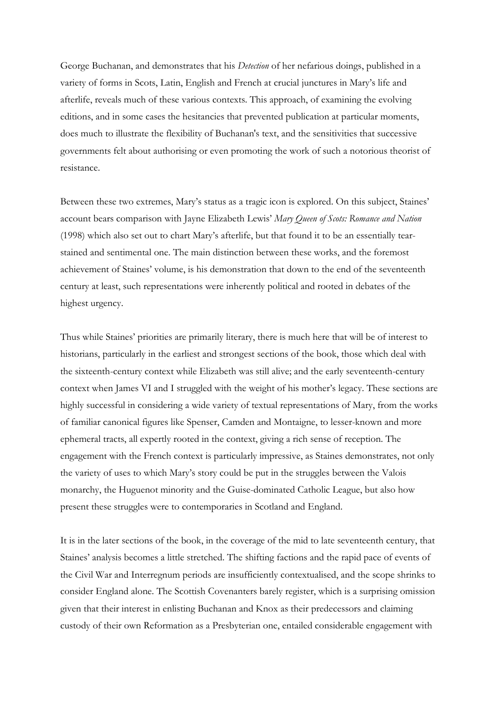George Buchanan, and demonstrates that his *Detection* of her nefarious doings, published in a variety of forms in Scots, Latin, English and French at crucial junctures in Mary's life and afterlife, reveals much of these various contexts. This approach, of examining the evolving editions, and in some cases the hesitancies that prevented publication at particular moments, does much to illustrate the flexibility of Buchanan's text, and the sensitivities that successive governments felt about authorising or even promoting the work of such a notorious theorist of resistance.

Between these two extremes, Mary's status as a tragic icon is explored. On this subject, Staines' account bears comparison with Jayne Elizabeth Lewis' Mary Queen of Scots: Romance and Nation (1998) which also set out to chart Mary's afterlife, but that found it to be an essentially tearstained and sentimental one. The main distinction between these works, and the foremost achievement of Staines' volume, is his demonstration that down to the end of the seventeenth century at least, such representations were inherently political and rooted in debates of the highest urgency.

Thus while Staines' priorities are primarily literary, there is much here that will be of interest to historians, particularly in the earliest and strongest sections of the book, those which deal with the sixteenth-century context while Elizabeth was still alive; and the early seventeenth-century context when James VI and I struggled with the weight of his mother's legacy. These sections are highly successful in considering a wide variety of textual representations of Mary, from the works of familiar canonical figures like Spenser, Camden and Montaigne, to lesser-known and more ephemeral tracts, all expertly rooted in the context, giving a rich sense of reception. The engagement with the French context is particularly impressive, as Staines demonstrates, not only the variety of uses to which Mary's story could be put in the struggles between the Valois monarchy, the Huguenot minority and the Guise-dominated Catholic League, but also how present these struggles were to contemporaries in Scotland and England.

It is in the later sections of the book, in the coverage of the mid to late seventeenth century, that Staines' analysis becomes a little stretched. The shifting factions and the rapid pace of events of the Civil War and Interregnum periods are insufficiently contextualised, and the scope shrinks to consider England alone. The Scottish Covenanters barely register, which is a surprising omission given that their interest in enlisting Buchanan and Knox as their predecessors and claiming custody of their own Reformation as a Presbyterian one, entailed considerable engagement with